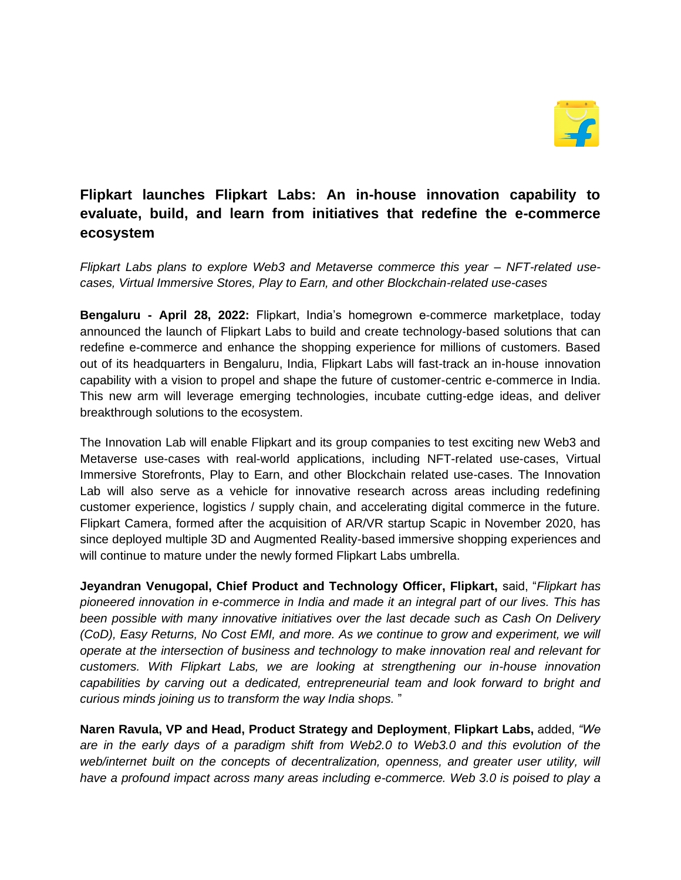

## **Flipkart launches Flipkart Labs: An in-house innovation capability to evaluate, build, and learn from initiatives that redefine the e-commerce ecosystem**

*Flipkart Labs plans to explore Web3 and Metaverse commerce this year – NFT-related usecases, Virtual Immersive Stores, Play to Earn, and other Blockchain-related use-cases*

**Bengaluru - April 28, 2022:** Flipkart, India's homegrown e-commerce marketplace, today announced the launch of Flipkart Labs to build and create technology-based solutions that can redefine e-commerce and enhance the shopping experience for millions of customers. Based out of its headquarters in Bengaluru, India, Flipkart Labs will fast-track an in-house innovation capability with a vision to propel and shape the future of customer-centric e-commerce in India. This new arm will leverage emerging technologies, incubate cutting-edge ideas, and deliver breakthrough solutions to the ecosystem.

The Innovation Lab will enable Flipkart and its group companies to test exciting new Web3 and Metaverse use-cases with real-world applications, including NFT-related use-cases, Virtual Immersive Storefronts, Play to Earn, and other Blockchain related use-cases. The Innovation Lab will also serve as a vehicle for innovative research across areas including redefining customer experience, logistics / supply chain, and accelerating digital commerce in the future. Flipkart Camera, formed after the acquisition of AR/VR startup Scapic in November 2020, has since deployed multiple 3D and Augmented Reality-based immersive shopping experiences and will continue to mature under the newly formed Flipkart Labs umbrella.

**Jeyandran Venugopal, Chief Product and Technology Officer, Flipkart,** said, "*Flipkart has pioneered innovation in e-commerce in India and made it an integral part of our lives. This has been possible with many innovative initiatives over the last decade such as Cash On Delivery (CoD), Easy Returns, No Cost EMI, and more. As we continue to grow and experiment, we will operate at the intersection of business and technology to make innovation real and relevant for customers. With Flipkart Labs, we are looking at strengthening our in-house innovation capabilities by carving out a dedicated, entrepreneurial team and look forward to bright and curious minds joining us to transform the way India shops.* "

**Naren Ravula, VP and Head, Product Strategy and Deployment**, **Flipkart Labs,** added, *"We are in the early days of a paradigm shift from Web2.0 to Web3.0 and this evolution of the*  web/internet built on the concepts of decentralization, openness, and greater user utility, will *have a profound impact across many areas including e-commerce. Web 3.0 is poised to play a*